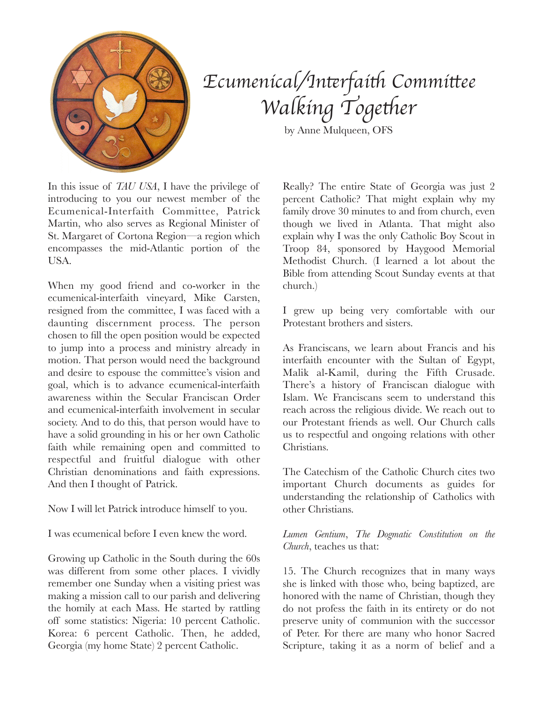

## *Ecumenical/In*t*rfai*t *Commi*t*ee*  $W$ alking Together

by Anne Mulqueen, OFS

In this issue of *TAU USA*, I have the privilege of introducing to you our newest member of the Ecumenical-Interfaith Committee, Patrick Martin, who also serves as Regional Minister of St. Margaret of Cortona Region—a region which encompasses the mid-Atlantic portion of the **USA** 

When my good friend and co-worker in the ecumenical-interfaith vineyard, Mike Carsten, resigned from the committee, I was faced with a daunting discernment process. The person chosen to fill the open position would be expected to jump into a process and ministry already in motion. That person would need the background and desire to espouse the committee's vision and goal, which is to advance ecumenical-interfaith awareness within the Secular Franciscan Order and ecumenical-interfaith involvement in secular society. And to do this, that person would have to have a solid grounding in his or her own Catholic faith while remaining open and committed to respectful and fruitful dialogue with other Christian denominations and faith expressions. And then I thought of Patrick.

Now I will let Patrick introduce himself to you.

I was ecumenical before I even knew the word.

Growing up Catholic in the South during the 60s was different from some other places. I vividly remember one Sunday when a visiting priest was making a mission call to our parish and delivering the homily at each Mass. He started by rattling off some statistics: Nigeria: 10 percent Catholic. Korea: 6 percent Catholic. Then, he added, Georgia (my home State) 2 percent Catholic.

Really? The entire State of Georgia was just 2 percent Catholic? That might explain why my family drove 30 minutes to and from church, even though we lived in Atlanta. That might also explain why I was the only Catholic Boy Scout in Troop 84, sponsored by Haygood Memorial Methodist Church. (I learned a lot about the Bible from attending Scout Sunday events at that church.)

I grew up being very comfortable with our Protestant brothers and sisters.

As Franciscans, we learn about Francis and his interfaith encounter with the Sultan of Egypt, Malik al-Kamil, during the Fifth Crusade. There's a history of Franciscan dialogue with Islam. We Franciscans seem to understand this reach across the religious divide. We reach out to our Protestant friends as well. Our Church calls us to respectful and ongoing relations with other Christians.

The Catechism of the Catholic Church cites two important Church documents as guides for understanding the relationship of Catholics with other Christians.

*Lumen Gentium*, *The Dogmatic Constitution on the Church*, teaches us that:

15. The Church recognizes that in many ways she is linked with those who, being baptized, are honored with the name of Christian, though they do not profess the faith in its entirety or do not preserve unity of communion with the successor of Peter. For there are many who honor Sacred Scripture, taking it as a norm of belief and a